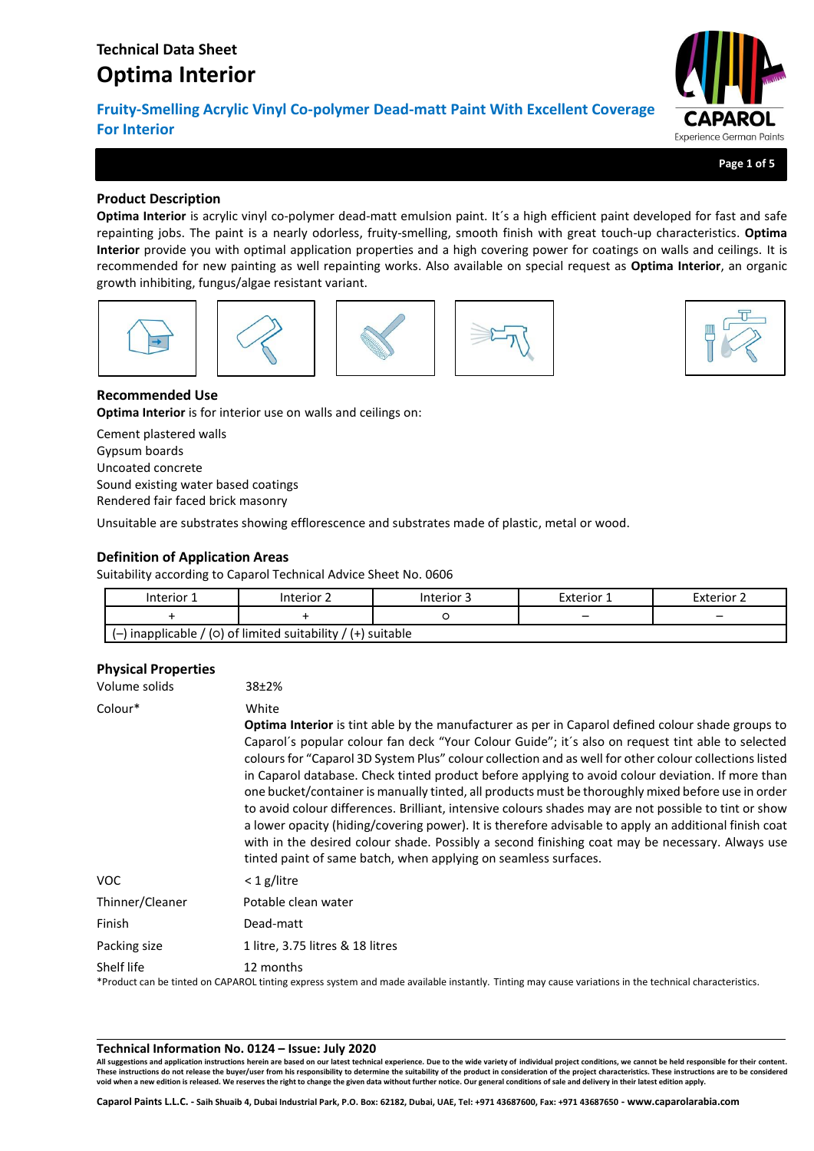**Fruity-Smelling Acrylic Vinyl Co-polymer Dead-matt Paint With Excellent Coverage For Interior**



**Page 1 of 5**

# **Product Description**

**Optima Interior** is acrylic vinyl co-polymer dead-matt emulsion paint. It´s a high efficient paint developed for fast and safe repainting jobs. The paint is a nearly odorless, fruity-smelling, smooth finish with great touch-up characteristics. **Optima Interior** provide you with optimal application properties and a high covering power for coatings on walls and ceilings. It is recommended for new painting as well repainting works. Also available on special request as **Optima Interior**, an organic growth inhibiting, fungus/algae resistant variant.











# **Recommended Use**

**Optima Interior** is for interior use on walls and ceilings on:

Cement plastered walls Gypsum boards Uncoated concrete Sound existing water based coatings Rendered fair faced brick masonry

Unsuitable are substrates showing efflorescence and substrates made of plastic, metal or wood.

# **Definition of Application Areas**

Suitability according to Caparol Technical Advice Sheet No. 0606

|                                                                | Interior 1 | Interior 2 | Interior 3 | Exterior 1 | Exterior 2 |
|----------------------------------------------------------------|------------|------------|------------|------------|------------|
|                                                                |            |            |            |            | -          |
| $(-)$ inapplicable / (0) of limited suitability / (+) suitable |            |            |            |            |            |

# **Physical Properties**

| Volume solids   | $38+2%$                                                                                                                                                                                                                                                                                                                                                                                                                                                                                                                                                                                                                                                                                                                                                                                                                                                                                                                             |
|-----------------|-------------------------------------------------------------------------------------------------------------------------------------------------------------------------------------------------------------------------------------------------------------------------------------------------------------------------------------------------------------------------------------------------------------------------------------------------------------------------------------------------------------------------------------------------------------------------------------------------------------------------------------------------------------------------------------------------------------------------------------------------------------------------------------------------------------------------------------------------------------------------------------------------------------------------------------|
| Colour*         | White<br><b>Optima Interior</b> is tint able by the manufacturer as per in Caparol defined colour shade groups to<br>Caparol's popular colour fan deck "Your Colour Guide"; it's also on request tint able to selected<br>colours for "Caparol 3D System Plus" colour collection and as well for other colour collections listed<br>in Caparol database. Check tinted product before applying to avoid colour deviation. If more than<br>one bucket/container is manually tinted, all products must be thoroughly mixed before use in order<br>to avoid colour differences. Brilliant, intensive colours shades may are not possible to tint or show<br>a lower opacity (hiding/covering power). It is therefore advisable to apply an additional finish coat<br>with in the desired colour shade. Possibly a second finishing coat may be necessary. Always use<br>tinted paint of same batch, when applying on seamless surfaces. |
| <b>VOC</b>      | $<$ 1 g/litre                                                                                                                                                                                                                                                                                                                                                                                                                                                                                                                                                                                                                                                                                                                                                                                                                                                                                                                       |
| Thinner/Cleaner | Potable clean water                                                                                                                                                                                                                                                                                                                                                                                                                                                                                                                                                                                                                                                                                                                                                                                                                                                                                                                 |
| Finish          | Dead-matt                                                                                                                                                                                                                                                                                                                                                                                                                                                                                                                                                                                                                                                                                                                                                                                                                                                                                                                           |
| Packing size    | 1 litre, 3.75 litres & 18 litres                                                                                                                                                                                                                                                                                                                                                                                                                                                                                                                                                                                                                                                                                                                                                                                                                                                                                                    |
| Shelf life      | 12 months<br>*Product can be tinted on CAPAROL tinting express system and made available instantly. Tinting may cause variations in the technical characteristics.                                                                                                                                                                                                                                                                                                                                                                                                                                                                                                                                                                                                                                                                                                                                                                  |

#### **Technical Information No. 0124 – Issue: July 2020**

**All suggestions and application instructions herein are based on our latest technical experience. Due to the wide variety of individual project conditions, we cannot be held responsible for their content.** These instructions do not release the buyer/user from his responsibility to determine the suitability of the product in consideration of the project characteristics. These instructions are to be considered<br>void when a new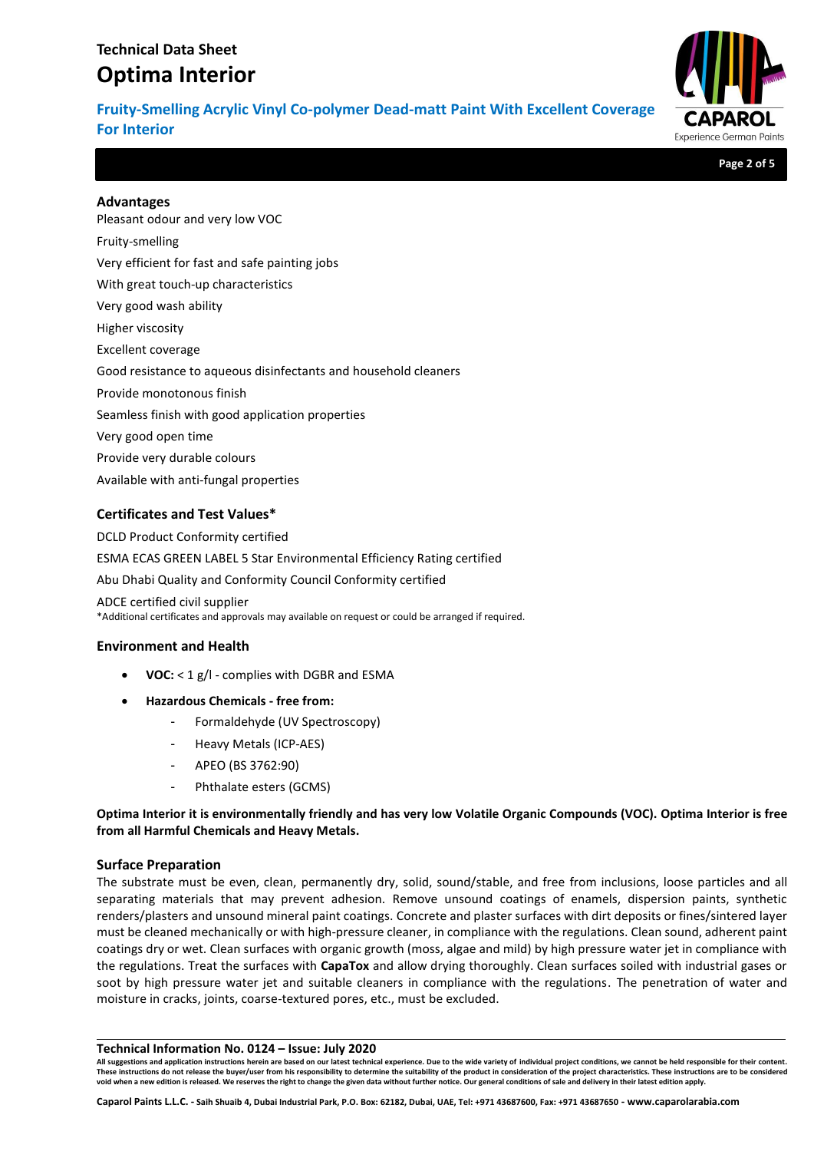**Fruity-Smelling Acrylic Vinyl Co-polymer Dead-matt Paint With Excellent Coverage For Interior**



**Page 2 of 5**

## **Advantages**

Pleasant odour and very low VOC Fruity-smelling Very efficient for fast and safe painting jobs With great touch-up characteristics Very good wash ability Higher viscosity Excellent coverage Good resistance to aqueous disinfectants and household cleaners Provide monotonous finish Seamless finish with good application properties Very good open time Provide very durable colours Available with anti-fungal properties

# **Certificates and Test Values\***

DCLD Product Conformity certified ESMA ECAS GREEN LABEL 5 Star Environmental Efficiency Rating certified Abu Dhabi Quality and Conformity Council Conformity certified ADCE certified civil supplier \*Additional certificates and approvals may available on request or could be arranged if required.

## **Environment and Health**

- **VOC:** < 1 g/l complies with DGBR and ESMA
- **Hazardous Chemicals - free from:**
	- Formaldehyde (UV Spectroscopy)
	- Heavy Metals (ICP-AES)
	- APEO (BS 3762:90)
	- Phthalate esters (GCMS)

**Optima Interior it is environmentally friendly and has very low Volatile Organic Compounds (VOC). Optima Interior is free from all Harmful Chemicals and Heavy Metals.**

## **Surface Preparation**

The substrate must be even, clean, permanently dry, solid, sound/stable, and free from inclusions, loose particles and all separating materials that may prevent adhesion. Remove unsound coatings of enamels, dispersion paints, synthetic renders/plasters and unsound mineral paint coatings. Concrete and plaster surfaces with dirt deposits or fines/sintered layer must be cleaned mechanically or with high-pressure cleaner, in compliance with the regulations. Clean sound, adherent paint coatings dry or wet. Clean surfaces with organic growth (moss, algae and mild) by high pressure water jet in compliance with the regulations. Treat the surfaces with **CapaTox** and allow drying thoroughly. Clean surfaces soiled with industrial gases or soot by high pressure water jet and suitable cleaners in compliance with the regulations. The penetration of water and moisture in cracks, joints, coarse-textured pores, etc., must be excluded.

#### **Technical Information No. 0124 – Issue: July 2020**

**All suggestions and application instructions herein are based on our latest technical experience. Due to the wide variety of individual project conditions, we cannot be held responsible for their content.** These instructions do not release the buyer/user from his responsibility to determine the suitability of the product in consideration of the project characteristics. These instructions are to be considered<br>void when a new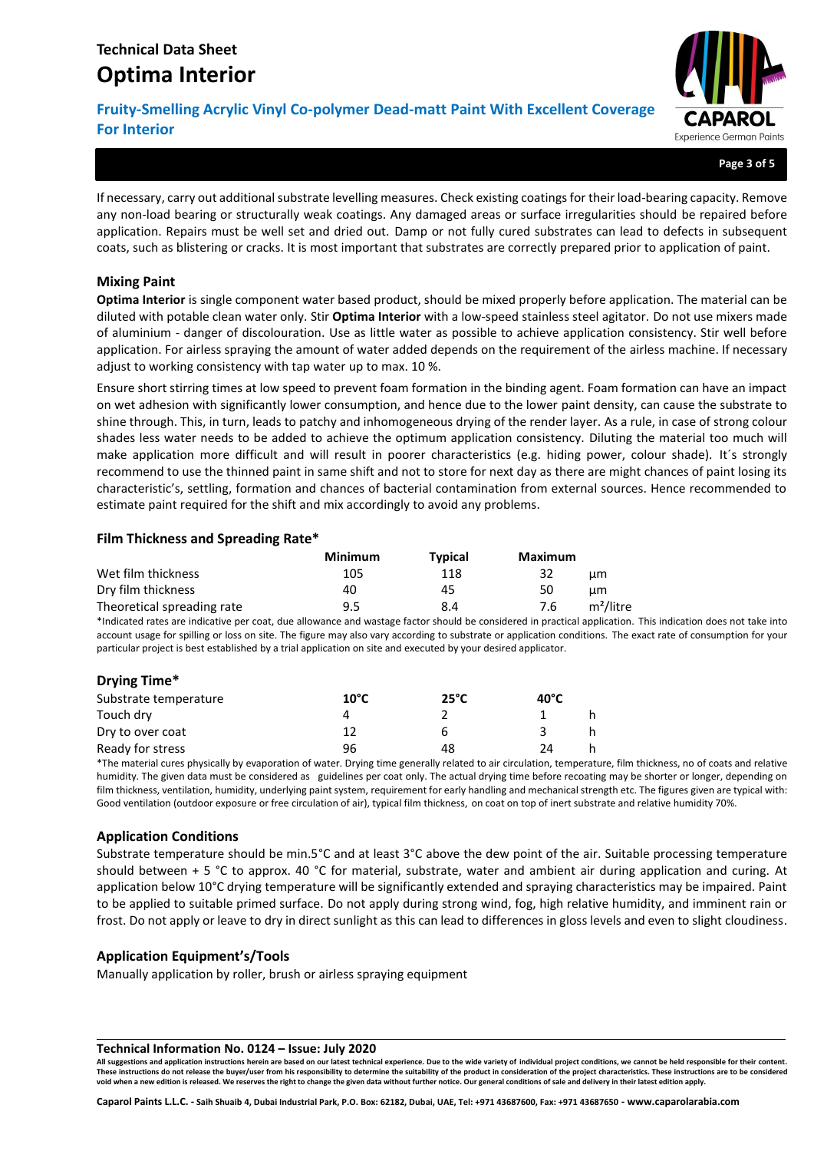**Fruity-Smelling Acrylic Vinyl Co-polymer Dead-matt Paint With Excellent Coverage For Interior**



**Page 3 of 5**

If necessary, carry out additional substrate levelling measures. Check existing coatings for their load-bearing capacity. Remove any non-load bearing or structurally weak coatings. Any damaged areas or surface irregularities should be repaired before application. Repairs must be well set and dried out. Damp or not fully cured substrates can lead to defects in subsequent coats, such as blistering or cracks. It is most important that substrates are correctly prepared prior to application of paint.

## **Mixing Paint**

**Optima Interior** is single component water based product, should be mixed properly before application. The material can be diluted with potable clean water only. Stir **Optima Interior** with a low-speed stainless steel agitator. Do not use mixers made of aluminium - danger of discolouration. Use as little water as possible to achieve application consistency. Stir well before application. For airless spraying the amount of water added depends on the requirement of the airless machine. If necessary adjust to working consistency with tap water up to max. 10 %.

Ensure short stirring times at low speed to prevent foam formation in the binding agent. Foam formation can have an impact on wet adhesion with significantly lower consumption, and hence due to the lower paint density, can cause the substrate to shine through. This, in turn, leads to patchy and inhomogeneous drying of the render layer. As a rule, in case of strong colour shades less water needs to be added to achieve the optimum application consistency. Diluting the material too much will make application more difficult and will result in poorer characteristics (e.g. hiding power, colour shade). It´s strongly recommend to use the thinned paint in same shift and not to store for next day as there are might chances of paint losing its characteristic's, settling, formation and chances of bacterial contamination from external sources. Hence recommended to estimate paint required for the shift and mix accordingly to avoid any problems.

## **Film Thickness and Spreading Rate\***

|                            | <b>Minimum</b> | <b>Typical</b> | Maximum                      |  |
|----------------------------|----------------|----------------|------------------------------|--|
| Wet film thickness         | 105            | 118            | 32<br>цm                     |  |
| Dry film thickness         | 40             | 45             | 50<br>um.                    |  |
| Theoretical spreading rate | 9.5            | 8.4            | m <sup>2</sup> /litre<br>7.6 |  |

\*Indicated rates are indicative per coat, due allowance and wastage factor should be considered in practical application. This indication does not take into account usage for spilling or loss on site. The figure may also vary according to substrate or application conditions. The exact rate of consumption for your particular project is best established by a trial application on site and executed by your desired applicator.

## **Drying Time\***

| Substrate temperature | $10^{\circ}$ C | $25^{\circ}$ C | 40°C |    |
|-----------------------|----------------|----------------|------|----|
| Touch dry             |                |                |      |    |
| Dry to over coat      |                | h              |      | h. |
| Ready for stress      | 96             | 48             | 24   |    |

\*The material cures physically by evaporation of water. Drying time generally related to air circulation, temperature, film thickness, no of coats and relative humidity. The given data must be considered as guidelines per coat only. The actual drying time before recoating may be shorter or longer, depending on film thickness, ventilation, humidity, underlying paint system, requirement for early handling and mechanical strength etc. The figures given are typical with: Good ventilation (outdoor exposure or free circulation of air), typical film thickness, on coat on top of inert substrate and relative humidity 70%.

## **Application Conditions**

Substrate temperature should be min.5°C and at least 3°C above the dew point of the air. Suitable processing temperature should between + 5 °C to approx. 40 °C for material, substrate, water and ambient air during application and curing. At application below 10°C drying temperature will be significantly extended and spraying characteristics may be impaired. Paint to be applied to suitable primed surface. Do not apply during strong wind, fog, high relative humidity, and imminent rain or frost. Do not apply or leave to dry in direct sunlight as this can lead to differences in gloss levels and even to slight cloudiness.

## **Application Equipment's/Tools**

Manually application by roller, brush or airless spraying equipment

#### **Technical Information No. 0124 – Issue: July 2020**

**All suggestions and application instructions herein are based on our latest technical experience. Due to the wide variety of individual project conditions, we cannot be held responsible for their content.** These instructions do not release the buyer/user from his responsibility to determine the suitability of the product in consideration of the project characteristics. These instructions are to be considered **void when a new edition is released. We reserves the right to change the given data without further notice. Our general conditions of sale and delivery in their latest edition apply.**

**Caparol Paints L.L.C. - Saih Shuaib 4, Dubai Industrial Park, P.O. Box: 62182, Dubai, UAE, Tel: +971 43687600, Fax: +971 43687650 - www.caparolarabia.com**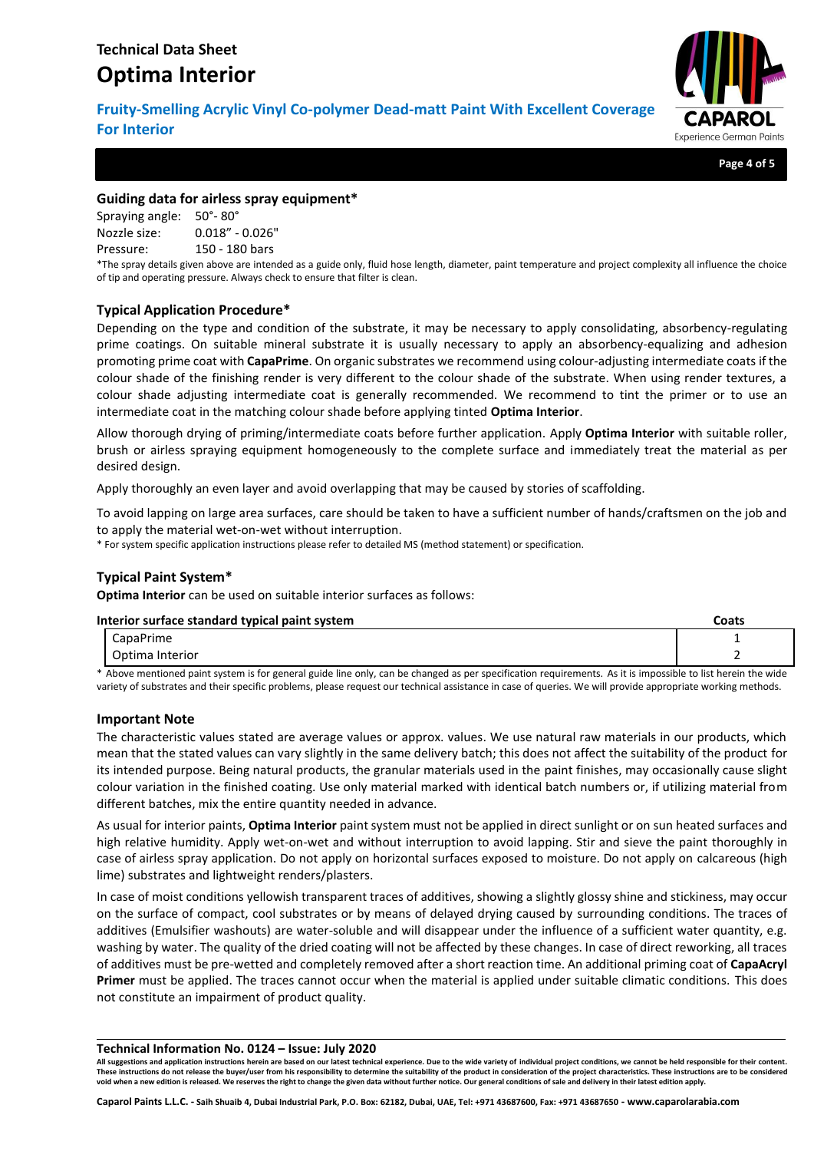**Fruity-Smelling Acrylic Vinyl Co-polymer Dead-matt Paint With Excellent Coverage For Interior**



**Page 4 of 5**

## **Guiding data for airless spray equipment\***

Spraying angle: 50°- 80° Nozzle size: 0.018" - 0.026" Pressure: 150 - 180 bars

\*The spray details given above are intended as a guide only, fluid hose length, diameter, paint temperature and project complexity all influence the choice of tip and operating pressure. Always check to ensure that filter is clean.

## **Typical Application Procedure\***

Depending on the type and condition of the substrate, it may be necessary to apply consolidating, absorbency-regulating prime coatings. On suitable mineral substrate it is usually necessary to apply an absorbency-equalizing and adhesion promoting prime coat with **CapaPrime**. On organic substrates we recommend using colour-adjusting intermediate coats if the colour shade of the finishing render is very different to the colour shade of the substrate. When using render textures, a colour shade adjusting intermediate coat is generally recommended. We recommend to tint the primer or to use an intermediate coat in the matching colour shade before applying tinted **Optima Interior**.

Allow thorough drying of priming/intermediate coats before further application. Apply **Optima Interior** with suitable roller, brush or airless spraying equipment homogeneously to the complete surface and immediately treat the material as per desired design.

Apply thoroughly an even layer and avoid overlapping that may be caused by stories of scaffolding.

To avoid lapping on large area surfaces, care should be taken to have a sufficient number of hands/craftsmen on the job and to apply the material wet-on-wet without interruption.

\* For system specific application instructions please refer to detailed MS (method statement) or specification.

# **Typical Paint System\***

**Optima Interior** can be used on suitable interior surfaces as follows:

#### **Interior surface standard typical paint system Coats**

| CapaPrime                                                                                                                                                    |  |  |
|--------------------------------------------------------------------------------------------------------------------------------------------------------------|--|--|
| Optima Interior                                                                                                                                              |  |  |
| * Above mentioned paint system is for general guide line only, can be changed as per specification requirements. As it is impossible to list herein the wide |  |  |

variety of substrates and their specific problems, please request our technical assistance in case of queries. We will provide appropriate working methods.

## **Important Note**

The characteristic values stated are average values or approx. values. We use natural raw materials in our products, which mean that the stated values can vary slightly in the same delivery batch; this does not affect the suitability of the product for its intended purpose. Being natural products, the granular materials used in the paint finishes, may occasionally cause slight colour variation in the finished coating. Use only material marked with identical batch numbers or, if utilizing material from different batches, mix the entire quantity needed in advance.

As usual for interior paints, **Optima Interior** paint system must not be applied in direct sunlight or on sun heated surfaces and high relative humidity. Apply wet-on-wet and without interruption to avoid lapping. Stir and sieve the paint thoroughly in case of airless spray application. Do not apply on horizontal surfaces exposed to moisture. Do not apply on calcareous (high lime) substrates and lightweight renders/plasters.

In case of moist conditions yellowish transparent traces of additives, showing a slightly glossy shine and stickiness, may occur on the surface of compact, cool substrates or by means of delayed drying caused by surrounding conditions. The traces of additives (Emulsifier washouts) are water-soluble and will disappear under the influence of a sufficient water quantity, e.g. washing by water. The quality of the dried coating will not be affected by these changes. In case of direct reworking, all traces of additives must be pre-wetted and completely removed after a short reaction time. An additional priming coat of **CapaAcryl Primer** must be applied. The traces cannot occur when the material is applied under suitable climatic conditions. This does not constitute an impairment of product quality.

#### **Technical Information No. 0124 – Issue: July 2020**

**All suggestions and application instructions herein are based on our latest technical experience. Due to the wide variety of individual project conditions, we cannot be held responsible for their content.** These instructions do not release the buyer/user from his responsibility to determine the suitability of the product in consideration of the project characteristics. These instructions are to be considered **void when a new edition is released. We reserves the right to change the given data without further notice. Our general conditions of sale and delivery in their latest edition apply.**